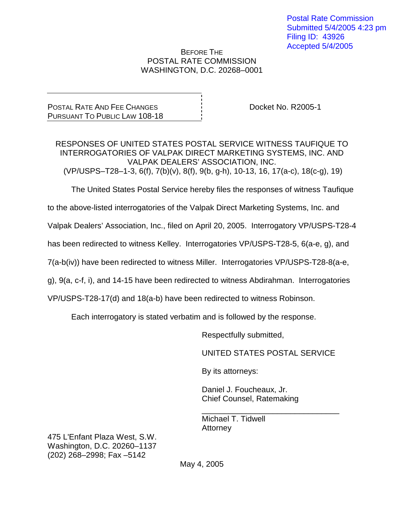### BEFORE THE POSTAL RATE COMMISSION WASHINGTON, D.C. 20268–0001

POSTAL RATE AND FEE CHANGES PURSUANT TO PUBLIC LAW 108-18

Docket No. R2005-1

RESPONSES OF UNITED STATES POSTAL SERVICE WITNESS TAUFIQUE TO INTERROGATORIES OF VALPAK DIRECT MARKETING SYSTEMS, INC. AND VALPAK DEALERS' ASSOCIATION, INC. (VP/USPS–T28–1-3, 6(f), 7(b)(v), 8(f), 9(b, g-h), 10-13, 16, 17(a-c), 18(c-g), 19)

The United States Postal Service hereby files the responses of witness Taufique

to the above-listed interrogatories of the Valpak Direct Marketing Systems, Inc. and

Valpak Dealers' Association, Inc., filed on April 20, 2005. Interrogatory VP/USPS-T28-4

has been redirected to witness Kelley. Interrogatories VP/USPS-T28-5, 6(a-e, g), and

7(a-b(iv)) have been redirected to witness Miller. Interrogatories VP/USPS-T28-8(a-e,

g), 9(a, c-f, i), and 14-15 have been redirected to witness Abdirahman. Interrogatories

VP/USPS-T28-17(d) and 18(a-b) have been redirected to witness Robinson.

Each interrogatory is stated verbatim and is followed by the response.

Respectfully submitted,

UNITED STATES POSTAL SERVICE

\_\_\_\_\_\_\_\_\_\_\_\_\_\_\_\_\_\_\_\_\_\_\_\_\_\_\_\_\_\_\_

By its attorneys:

Daniel J. Foucheaux, Jr. Chief Counsel, Ratemaking

Michael T. Tidwell **Attorney** 

475 L'Enfant Plaza West, S.W. Washington, D.C. 20260–1137 (202) 268–2998; Fax –5142

May 4, 2005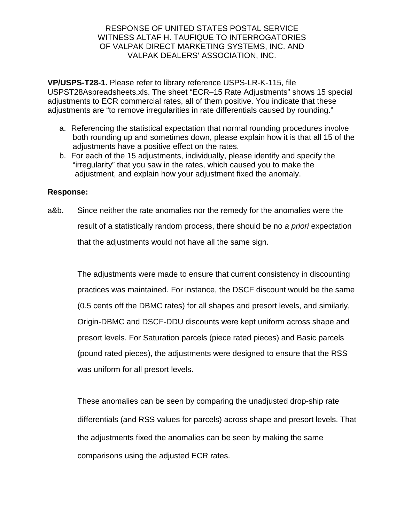**VP/USPS-T28-1.** Please refer to library reference USPS-LR-K-115, file USPST28Aspreadsheets.xls. The sheet "ECR–15 Rate Adjustments" shows 15 special adjustments to ECR commercial rates, all of them positive. You indicate that these adjustments are "to remove irregularities in rate differentials caused by rounding."

- a. Referencing the statistical expectation that normal rounding procedures involve both rounding up and sometimes down, please explain how it is that all 15 of the adjustments have a positive effect on the rates.
- b. For each of the 15 adjustments, individually, please identify and specify the "irregularity" that you saw in the rates, which caused you to make the adjustment, and explain how your adjustment fixed the anomaly.

## **Response:**

a&b. Since neither the rate anomalies nor the remedy for the anomalies were the result of a statistically random process, there should be no a *priori* expectation that the adjustments would not have all the same sign.

The adjustments were made to ensure that current consistency in discounting practices was maintained. For instance, the DSCF discount would be the same (0.5 cents off the DBMC rates) for all shapes and presort levels, and similarly, Origin-DBMC and DSCF-DDU discounts were kept uniform across shape and presort levels. For Saturation parcels (piece rated pieces) and Basic parcels (pound rated pieces), the adjustments were designed to ensure that the RSS was uniform for all presort levels.

These anomalies can be seen by comparing the unadjusted drop-ship rate differentials (and RSS values for parcels) across shape and presort levels. That the adjustments fixed the anomalies can be seen by making the same comparisons using the adjusted ECR rates.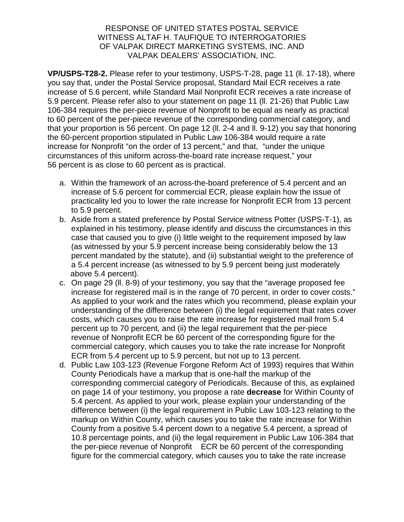**VP/USPS-T28-2.** Please refer to your testimony, USPS-T-28, page 11 (ll. 17-18), where you say that, under the Postal Service proposal, Standard Mail ECR receives a rate increase of 5.6 percent, while Standard Mail Nonprofit ECR receives a rate increase of 5.9 percent. Please refer also to your statement on page 11 (ll. 21-26) that Public Law 106-384 requires the per-piece revenue of Nonprofit to be equal as nearly as practical to 60 percent of the per-piece revenue of the corresponding commercial category, and that your proportion is 56 percent. On page 12 (ll. 2-4 and ll. 9-12) you say that honoring the 60-percent proportion stipulated in Public Law 106-384 would require a rate increase for Nonprofit "on the order of 13 percent," and that, "under the unique circumstances of this uniform across-the-board rate increase request," your 56 percent is as close to 60 percent as is practical.

- a. Within the framework of an across-the-board preference of 5.4 percent and an increase of 5.6 percent for commercial ECR, please explain how the issue of practicality led you to lower the rate increase for Nonprofit ECR from 13 percent to 5.9 percent.
- b. Aside from a stated preference by Postal Service witness Potter (USPS-T-1), as explained in his testimony, please identify and discuss the circumstances in this case that caused you to give (i) little weight to the requirement imposed by law (as witnessed by your 5.9 percent increase being considerably below the 13 percent mandated by the statute), and (ii) substantial weight to the preference of a 5.4 percent increase (as witnessed to by 5.9 percent being just moderately above 5.4 percent).
- c. On page 29 (ll. 8-9) of your testimony, you say that the "average proposed fee increase for registered mail is in the range of 70 percent, in order to cover costs." As applied to your work and the rates which you recommend, please explain your understanding of the difference between (i) the legal requirement that rates cover costs, which causes you to raise the rate increase for registered mail from 5.4 percent up to 70 percent, and (ii) the legal requirement that the per-piece revenue of Nonprofit ECR be 60 percent of the corresponding figure for the commercial category, which causes you to take the rate increase for Nonprofit ECR from 5.4 percent up to 5.9 percent, but not up to 13 percent.
- d. Public Law 103-123 (Revenue Forgone Reform Act of 1993) requires that Within County Periodicals have a markup that is one-half the markup of the corresponding commercial category of Periodicals. Because of this, as explained on page 14 of your testimony, you propose a rate **decrease** for Within County of 5.4 percent. As applied to your work, please explain your understanding of the difference between (i) the legal requirement in Public Law 103-123 relating to the markup on Within County, which causes you to take the rate increase for Within County from a positive 5.4 percent down to a negative 5.4 percent, a spread of 10.8 percentage points, and (ii) the legal requirement in Public Law 106-384 that the per-piece revenue of Nonprofit ECR be 60 percent of the corresponding figure for the commercial category, which causes you to take the rate increase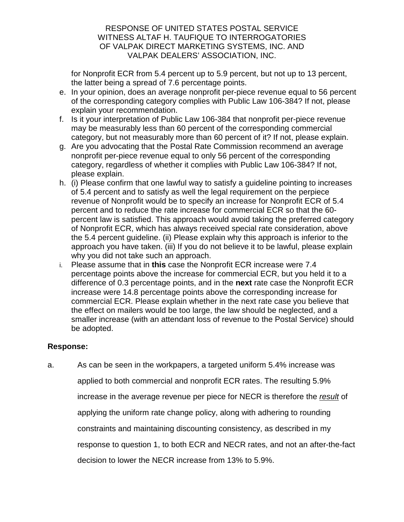for Nonprofit ECR from 5.4 percent up to 5.9 percent, but not up to 13 percent, the latter being a spread of 7.6 percentage points.

- e. In your opinion, does an average nonprofit per-piece revenue equal to 56 percent of the corresponding category complies with Public Law 106-384? If not, please explain your recommendation.
- f. Is it your interpretation of Public Law 106-384 that nonprofit per-piece revenue may be measurably less than 60 percent of the corresponding commercial category, but not measurably more than 60 percent of it? If not, please explain.
- g. Are you advocating that the Postal Rate Commission recommend an average nonprofit per-piece revenue equal to only 56 percent of the corresponding category, regardless of whether it complies with Public Law 106-384? If not, please explain.
- h. (i) Please confirm that one lawful way to satisfy a guideline pointing to increases of 5.4 percent and to satisfy as well the legal requirement on the perpiece revenue of Nonprofit would be to specify an increase for Nonprofit ECR of 5.4 percent and to reduce the rate increase for commercial ECR so that the 60 percent law is satisfied. This approach would avoid taking the preferred category of Nonprofit ECR, which has always received special rate consideration, above the 5.4 percent guideline. (ii) Please explain why this approach is inferior to the approach you have taken. (iii) If you do not believe it to be lawful, please explain why you did not take such an approach.
- i. Please assume that in **this** case the Nonprofit ECR increase were 7.4 percentage points above the increase for commercial ECR, but you held it to a difference of 0.3 percentage points, and in the **next** rate case the Nonprofit ECR increase were 14.8 percentage points above the corresponding increase for commercial ECR. Please explain whether in the next rate case you believe that the effect on mailers would be too large, the law should be neglected, and a smaller increase (with an attendant loss of revenue to the Postal Service) should be adopted.

# **Response:**

a. As can be seen in the workpapers, a targeted uniform 5.4% increase was applied to both commercial and nonprofit ECR rates. The resulting 5.9% increase in the average revenue per piece for NECR is therefore the result of applying the uniform rate change policy, along with adhering to rounding constraints and maintaining discounting consistency, as described in my response to question 1, to both ECR and NECR rates, and not an after-the-fact decision to lower the NECR increase from 13% to 5.9%.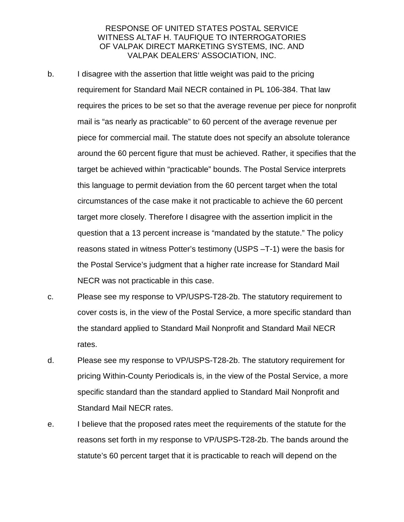- b. I disagree with the assertion that little weight was paid to the pricing requirement for Standard Mail NECR contained in PL 106-384. That law requires the prices to be set so that the average revenue per piece for nonprofit mail is "as nearly as practicable" to 60 percent of the average revenue per piece for commercial mail. The statute does not specify an absolute tolerance around the 60 percent figure that must be achieved. Rather, it specifies that the target be achieved within "practicable" bounds. The Postal Service interprets this language to permit deviation from the 60 percent target when the total circumstances of the case make it not practicable to achieve the 60 percent target more closely. Therefore I disagree with the assertion implicit in the question that a 13 percent increase is "mandated by the statute." The policy reasons stated in witness Potter's testimony (USPS –T-1) were the basis for the Postal Service's judgment that a higher rate increase for Standard Mail NECR was not practicable in this case.
- c. Please see my response to VP/USPS-T28-2b. The statutory requirement to cover costs is, in the view of the Postal Service, a more specific standard than the standard applied to Standard Mail Nonprofit and Standard Mail NECR rates.
- d. Please see my response to VP/USPS-T28-2b. The statutory requirement for pricing Within-County Periodicals is, in the view of the Postal Service, a more specific standard than the standard applied to Standard Mail Nonprofit and Standard Mail NECR rates.
- e. I believe that the proposed rates meet the requirements of the statute for the reasons set forth in my response to VP/USPS-T28-2b. The bands around the statute's 60 percent target that it is practicable to reach will depend on the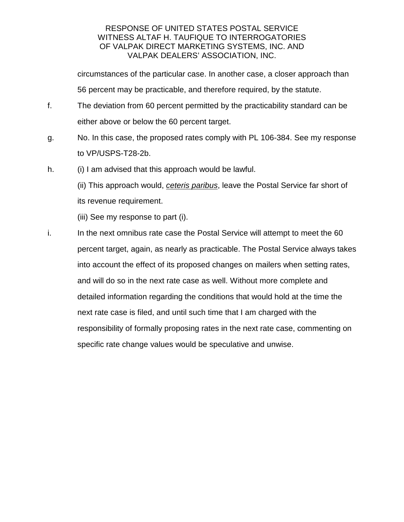circumstances of the particular case. In another case, a closer approach than 56 percent may be practicable, and therefore required, by the statute.

- f. The deviation from 60 percent permitted by the practicability standard can be either above or below the 60 percent target.
- g. No. In this case, the proposed rates comply with PL 106-384. See my response to VP/USPS-T28-2b.
- h. (i) I am advised that this approach would be lawful.
	- (ii) This approach would, ceteris paribus, leave the Postal Service far short of its revenue requirement.
		- (iii) See my response to part (i).
- i. In the next omnibus rate case the Postal Service will attempt to meet the 60 percent target, again, as nearly as practicable. The Postal Service always takes into account the effect of its proposed changes on mailers when setting rates, and will do so in the next rate case as well. Without more complete and detailed information regarding the conditions that would hold at the time the next rate case is filed, and until such time that I am charged with the responsibility of formally proposing rates in the next rate case, commenting on specific rate change values would be speculative and unwise.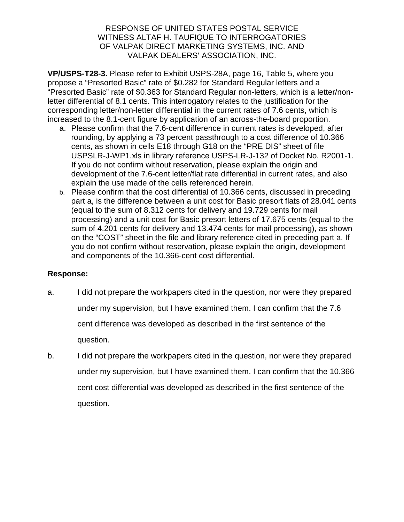**VP/USPS-T28-3.** Please refer to Exhibit USPS-28A, page 16, Table 5, where you propose a "Presorted Basic" rate of \$0.282 for Standard Regular letters and a "Presorted Basic" rate of \$0.363 for Standard Regular non-letters, which is a letter/nonletter differential of 8.1 cents. This interrogatory relates to the justification for the corresponding letter/non-letter differential in the current rates of 7.6 cents, which is increased to the 8.1-cent figure by application of an across-the-board proportion.

- a. Please confirm that the 7.6-cent difference in current rates is developed, after rounding, by applying a 73 percent passthrough to a cost difference of 10.366 cents, as shown in cells E18 through G18 on the "PRE DIS" sheet of file USPSLR-J-WP1.xls in library reference USPS-LR-J-132 of Docket No. R2001-1. If you do not confirm without reservation, please explain the origin and development of the 7.6-cent letter/flat rate differential in current rates, and also explain the use made of the cells referenced herein.
- b. Please confirm that the cost differential of 10.366 cents, discussed in preceding part a, is the difference between a unit cost for Basic presort flats of 28.041 cents (equal to the sum of 8.312 cents for delivery and 19.729 cents for mail processing) and a unit cost for Basic presort letters of 17.675 cents (equal to the sum of 4.201 cents for delivery and 13.474 cents for mail processing), as shown on the "COST" sheet in the file and library reference cited in preceding part a. If you do not confirm without reservation, please explain the origin, development and components of the 10.366-cent cost differential.

- a. I did not prepare the workpapers cited in the question, nor were they prepared under my supervision, but I have examined them. I can confirm that the 7.6 cent difference was developed as described in the first sentence of the question.
- b. I did not prepare the workpapers cited in the question, nor were they prepared under my supervision, but I have examined them. I can confirm that the 10.366 cent cost differential was developed as described in the first sentence of the question.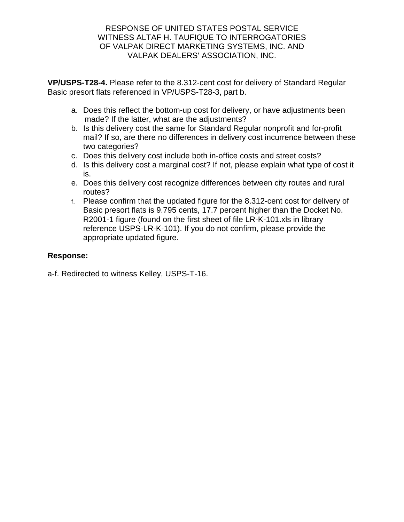**VP/USPS-T28-4.** Please refer to the 8.312-cent cost for delivery of Standard Regular Basic presort flats referenced in VP/USPS-T28-3, part b.

- a. Does this reflect the bottom-up cost for delivery, or have adjustments been made? If the latter, what are the adjustments?
- b. Is this delivery cost the same for Standard Regular nonprofit and for-profit mail? If so, are there no differences in delivery cost incurrence between these two categories?
- c. Does this delivery cost include both in-office costs and street costs?
- d. Is this delivery cost a marginal cost? If not, please explain what type of cost it is.
- e. Does this delivery cost recognize differences between city routes and rural routes?
- f. Please confirm that the updated figure for the 8.312-cent cost for delivery of Basic presort flats is 9.795 cents, 17.7 percent higher than the Docket No. R2001-1 figure (found on the first sheet of file LR-K-101.xls in library reference USPS-LR-K-101). If you do not confirm, please provide the appropriate updated figure.

# **Response:**

a-f. Redirected to witness Kelley, USPS-T-16.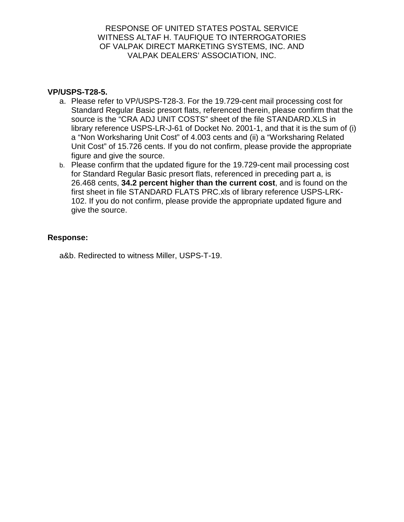## **VP/USPS-T28-5.**

- a. Please refer to VP/USPS-T28-3. For the 19.729-cent mail processing cost for Standard Regular Basic presort flats, referenced therein, please confirm that the source is the "CRA ADJ UNIT COSTS" sheet of the file STANDARD.XLS in library reference USPS-LR-J-61 of Docket No. 2001-1, and that it is the sum of (i) a "Non Worksharing Unit Cost" of 4.003 cents and (ii) a "Worksharing Related Unit Cost" of 15.726 cents. If you do not confirm, please provide the appropriate figure and give the source.
- b. Please confirm that the updated figure for the 19.729-cent mail processing cost for Standard Regular Basic presort flats, referenced in preceding part a, is 26.468 cents, **34.2 percent higher than the current cost**, and is found on the first sheet in file STANDARD FLATS PRC.xls of library reference USPS-LRK-102. If you do not confirm, please provide the appropriate updated figure and give the source.

### **Response:**

a&b. Redirected to witness Miller, USPS-T-19.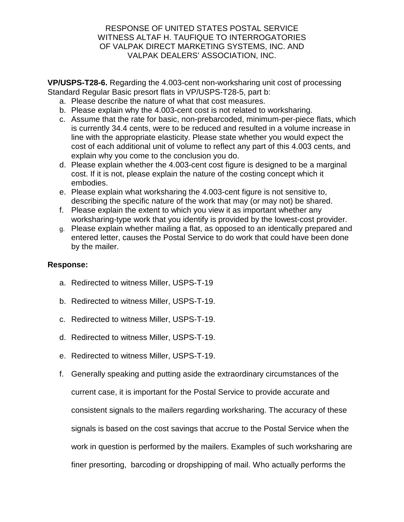**VP/USPS-T28-6.** Regarding the 4.003-cent non-worksharing unit cost of processing Standard Regular Basic presort flats in VP/USPS-T28-5, part b:

- a. Please describe the nature of what that cost measures.
- b. Please explain why the 4.003-cent cost is not related to worksharing.
- c. Assume that the rate for basic, non-prebarcoded, minimum-per-piece flats, which is currently 34.4 cents, were to be reduced and resulted in a volume increase in line with the appropriate elasticity. Please state whether you would expect the cost of each additional unit of volume to reflect any part of this 4.003 cents, and explain why you come to the conclusion you do.
- d. Please explain whether the 4.003-cent cost figure is designed to be a marginal cost. If it is not, please explain the nature of the costing concept which it embodies.
- e. Please explain what worksharing the 4.003-cent figure is not sensitive to, describing the specific nature of the work that may (or may not) be shared.
- f. Please explain the extent to which you view it as important whether any worksharing-type work that you identify is provided by the lowest-cost provider.
- g. Please explain whether mailing a flat, as opposed to an identically prepared and entered letter, causes the Postal Service to do work that could have been done by the mailer.

- a. Redirected to witness Miller, USPS-T-19
- b. Redirected to witness Miller, USPS-T-19.
- c. Redirected to witness Miller, USPS-T-19.
- d. Redirected to witness Miller, USPS-T-19.
- e. Redirected to witness Miller, USPS-T-19.
- f. Generally speaking and putting aside the extraordinary circumstances of the current case, it is important for the Postal Service to provide accurate and consistent signals to the mailers regarding worksharing. The accuracy of these signals is based on the cost savings that accrue to the Postal Service when the work in question is performed by the mailers. Examples of such worksharing are finer presorting, barcoding or dropshipping of mail. Who actually performs the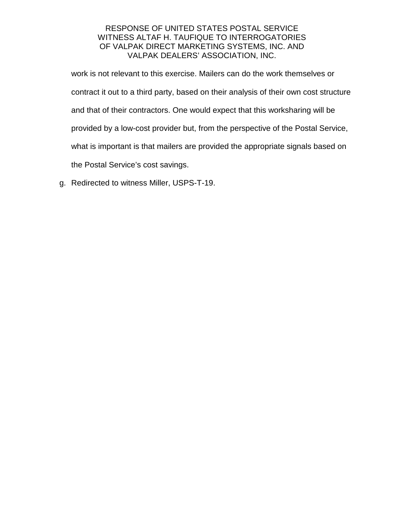work is not relevant to this exercise. Mailers can do the work themselves or contract it out to a third party, based on their analysis of their own cost structure and that of their contractors. One would expect that this worksharing will be provided by a low-cost provider but, from the perspective of the Postal Service, what is important is that mailers are provided the appropriate signals based on the Postal Service's cost savings.

g. Redirected to witness Miller, USPS-T-19.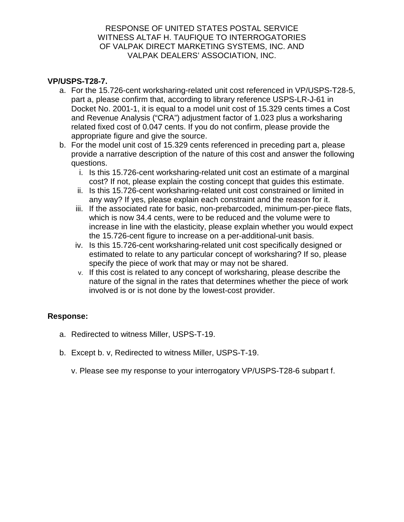## **VP/USPS-T28-7.**

- a. For the 15.726-cent worksharing-related unit cost referenced in VP/USPS-T28-5, part a, please confirm that, according to library reference USPS-LR-J-61 in Docket No. 2001-1, it is equal to a model unit cost of 15.329 cents times a Cost and Revenue Analysis ("CRA") adjustment factor of 1.023 plus a worksharing related fixed cost of 0.047 cents. If you do not confirm, please provide the appropriate figure and give the source.
- b. For the model unit cost of 15.329 cents referenced in preceding part a, please provide a narrative description of the nature of this cost and answer the following questions.
	- i. Is this 15.726-cent worksharing-related unit cost an estimate of a marginal cost? If not, please explain the costing concept that guides this estimate.
	- ii. Is this 15.726-cent worksharing-related unit cost constrained or limited in any way? If yes, please explain each constraint and the reason for it.
	- iii. If the associated rate for basic, non-prebarcoded, minimum-per-piece flats, which is now 34.4 cents, were to be reduced and the volume were to increase in line with the elasticity, please explain whether you would expect the 15.726-cent figure to increase on a per-additional-unit basis.
	- iv. Is this 15.726-cent worksharing-related unit cost specifically designed or estimated to relate to any particular concept of worksharing? If so, please specify the piece of work that may or may not be shared.
	- v. If this cost is related to any concept of worksharing, please describe the nature of the signal in the rates that determines whether the piece of work involved is or is not done by the lowest-cost provider.

- a. Redirected to witness Miller, USPS-T-19.
- b. Except b. v, Redirected to witness Miller, USPS-T-19.
	- v. Please see my response to your interrogatory VP/USPS-T28-6 subpart f.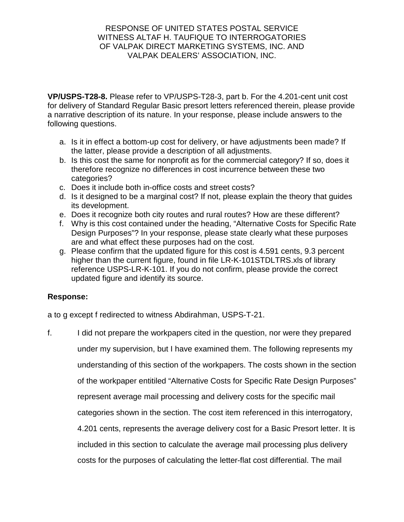**VP/USPS-T28-8.** Please refer to VP/USPS-T28-3, part b. For the 4.201-cent unit cost for delivery of Standard Regular Basic presort letters referenced therein, please provide a narrative description of its nature. In your response, please include answers to the following questions.

- a. Is it in effect a bottom-up cost for delivery, or have adjustments been made? If the latter, please provide a description of all adjustments.
- b. Is this cost the same for nonprofit as for the commercial category? If so, does it therefore recognize no differences in cost incurrence between these two categories?
- c. Does it include both in-office costs and street costs?
- d. Is it designed to be a marginal cost? If not, please explain the theory that guides its development.
- e. Does it recognize both city routes and rural routes? How are these different?
- f. Why is this cost contained under the heading, "Alternative Costs for Specific Rate Design Purposes"? In your response, please state clearly what these purposes are and what effect these purposes had on the cost.
- g. Please confirm that the updated figure for this cost is 4.591 cents, 9.3 percent higher than the current figure, found in file LR-K-101STDLTRS.xls of library reference USPS-LR-K-101. If you do not confirm, please provide the correct updated figure and identify its source.

# **Response:**

a to g except f redirected to witness Abdirahman, USPS-T-21.

f. I did not prepare the workpapers cited in the question, nor were they prepared under my supervision, but I have examined them. The following represents my understanding of this section of the workpapers. The costs shown in the section of the workpaper entitiled "Alternative Costs for Specific Rate Design Purposes" represent average mail processing and delivery costs for the specific mail categories shown in the section. The cost item referenced in this interrogatory, 4.201 cents, represents the average delivery cost for a Basic Presort letter. It is included in this section to calculate the average mail processing plus delivery costs for the purposes of calculating the letter-flat cost differential. The mail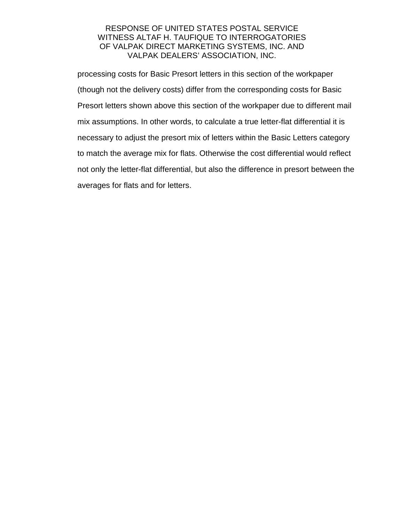processing costs for Basic Presort letters in this section of the workpaper (though not the delivery costs) differ from the corresponding costs for Basic Presort letters shown above this section of the workpaper due to different mail mix assumptions. In other words, to calculate a true letter-flat differential it is necessary to adjust the presort mix of letters within the Basic Letters category to match the average mix for flats. Otherwise the cost differential would reflect not only the letter-flat differential, but also the difference in presort between the averages for flats and for letters.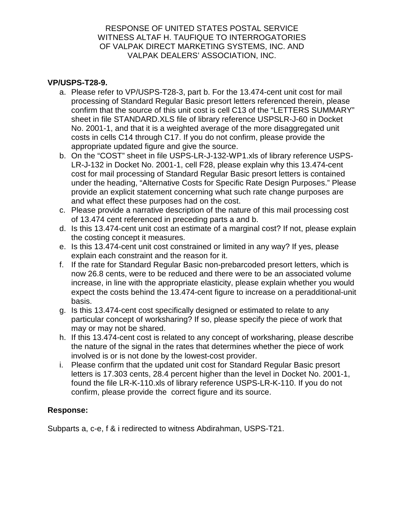## **VP/USPS-T28-9.**

- a. Please refer to VP/USPS-T28-3, part b. For the 13.474-cent unit cost for mail processing of Standard Regular Basic presort letters referenced therein, please confirm that the source of this unit cost is cell C13 of the "LETTERS SUMMARY" sheet in file STANDARD.XLS file of library reference USPSLR-J-60 in Docket No. 2001-1, and that it is a weighted average of the more disaggregated unit costs in cells C14 through C17. If you do not confirm, please provide the appropriate updated figure and give the source.
- b. On the "COST" sheet in file USPS-LR-J-132-WP1.xls of library reference USPS-LR-J-132 in Docket No. 2001-1, cell F28, please explain why this 13.474-cent cost for mail processing of Standard Regular Basic presort letters is contained under the heading, "Alternative Costs for Specific Rate Design Purposes." Please provide an explicit statement concerning what such rate change purposes are and what effect these purposes had on the cost.
- c. Please provide a narrative description of the nature of this mail processing cost of 13.474 cent referenced in preceding parts a and b.
- d. Is this 13.474-cent unit cost an estimate of a marginal cost? If not, please explain the costing concept it measures.
- e. Is this 13.474-cent unit cost constrained or limited in any way? If yes, please explain each constraint and the reason for it.
- f. If the rate for Standard Regular Basic non-prebarcoded presort letters, which is now 26.8 cents, were to be reduced and there were to be an associated volume increase, in line with the appropriate elasticity, please explain whether you would expect the costs behind the 13.474-cent figure to increase on a peradditional-unit basis.
- g. Is this 13.474-cent cost specifically designed or estimated to relate to any particular concept of worksharing? If so, please specify the piece of work that may or may not be shared.
- h. If this 13.474-cent cost is related to any concept of worksharing, please describe the nature of the signal in the rates that determines whether the piece of work involved is or is not done by the lowest-cost provider.
- i. Please confirm that the updated unit cost for Standard Regular Basic presort letters is 17.303 cents, 28.4 percent higher than the level in Docket No. 2001-1, found the file LR-K-110.xls of library reference USPS-LR-K-110. If you do not confirm, please provide the correct figure and its source.

# **Response:**

Subparts a, c-e, f & i redirected to witness Abdirahman, USPS-T21.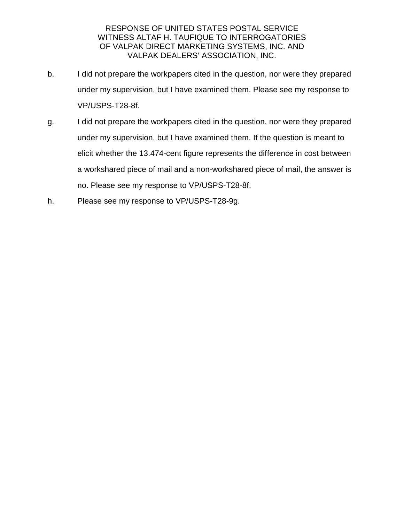- b. I did not prepare the workpapers cited in the question, nor were they prepared under my supervision, but I have examined them. Please see my response to VP/USPS-T28-8f.
- g. I did not prepare the workpapers cited in the question, nor were they prepared under my supervision, but I have examined them. If the question is meant to elicit whether the 13.474-cent figure represents the difference in cost between a workshared piece of mail and a non-workshared piece of mail, the answer is no. Please see my response to VP/USPS-T28-8f.
- h. Please see my response to VP/USPS-T28-9g.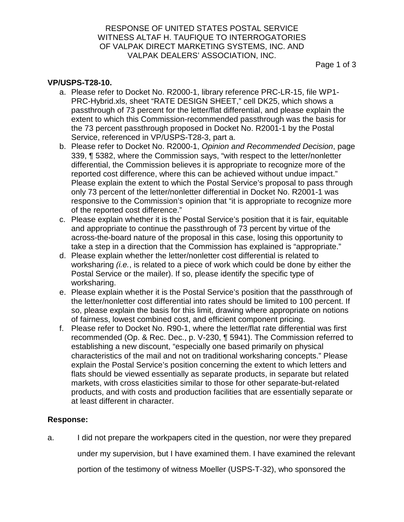Page 1 of 3

## **VP/USPS-T28-10.**

- a. Please refer to Docket No. R2000-1, library reference PRC-LR-15, file WP1- PRC-Hybrid.xls, sheet "RATE DESIGN SHEET," cell DK25, which shows a passthrough of 73 percent for the letter/flat differential, and please explain the extent to which this Commission-recommended passthrough was the basis for the 73 percent passthrough proposed in Docket No. R2001-1 by the Postal Service, referenced in VP/USPS-T28-3, part a.
- b. Please refer to Docket No. R2000-1, Opinion and Recommended Decision, page 339, ¶ 5382, where the Commission says, "with respect to the letter/nonletter differential, the Commission believes it is appropriate to recognize more of the reported cost difference, where this can be achieved without undue impact." Please explain the extent to which the Postal Service's proposal to pass through only 73 percent of the letter/nonletter differential in Docket No. R2001-1 was responsive to the Commission's opinion that "it is appropriate to recognize more of the reported cost difference."
- c. Please explain whether it is the Postal Service's position that it is fair, equitable and appropriate to continue the passthrough of 73 percent by virtue of the across-the-board nature of the proposal in this case, losing this opportunity to take a step in a direction that the Commission has explained is "appropriate."
- d. Please explain whether the letter/nonletter cost differential is related to worksharing *(i.e.,* is related to a piece of work which could be done by either the Postal Service or the mailer). If so, please identify the specific type of worksharing.
- e. Please explain whether it is the Postal Service's position that the passthrough of the letter/nonletter cost differential into rates should be limited to 100 percent. If so, please explain the basis for this limit, drawing where appropriate on notions of fairness, lowest combined cost, and efficient component pricing.
- f. Please refer to Docket No. R90-1, where the letter/flat rate differential was first recommended (Op. & Rec. Dec., p. V-230, ¶ 5941). The Commission referred to establishing a new discount, "especially one based primarily on physical characteristics of the mail and not on traditional worksharing concepts." Please explain the Postal Service's position concerning the extent to which letters and flats should be viewed essentially as separate products, in separate but related markets, with cross elasticities similar to those for other separate-but-related products, and with costs and production facilities that are essentially separate or at least different in character.

#### **Response:**

a. I did not prepare the workpapers cited in the question, nor were they prepared under my supervision, but I have examined them. I have examined the relevant portion of the testimony of witness Moeller (USPS-T-32), who sponsored the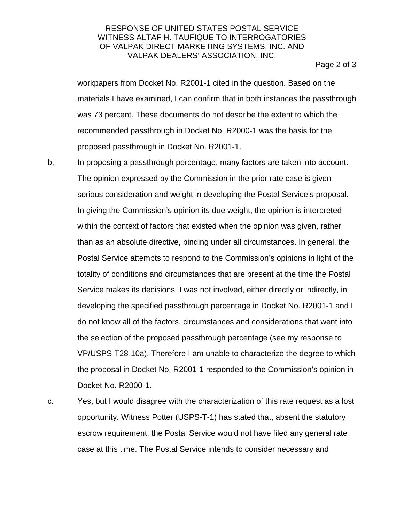Page 2 of 3

workpapers from Docket No. R2001-1 cited in the question. Based on the materials I have examined, I can confirm that in both instances the passthrough was 73 percent. These documents do not describe the extent to which the recommended passthrough in Docket No. R2000-1 was the basis for the proposed passthrough in Docket No. R2001-1.

b. In proposing a passthrough percentage, many factors are taken into account. The opinion expressed by the Commission in the prior rate case is given serious consideration and weight in developing the Postal Service's proposal. In giving the Commission's opinion its due weight, the opinion is interpreted within the context of factors that existed when the opinion was given, rather than as an absolute directive, binding under all circumstances. In general, the Postal Service attempts to respond to the Commission's opinions in light of the totality of conditions and circumstances that are present at the time the Postal Service makes its decisions. I was not involved, either directly or indirectly, in developing the specified passthrough percentage in Docket No. R2001-1 and I do not know all of the factors, circumstances and considerations that went into the selection of the proposed passthrough percentage (see my response to VP/USPS-T28-10a). Therefore I am unable to characterize the degree to which the proposal in Docket No. R2001-1 responded to the Commission's opinion in Docket No. R2000-1.

c. Yes, but I would disagree with the characterization of this rate request as a lost opportunity. Witness Potter (USPS-T-1) has stated that, absent the statutory escrow requirement, the Postal Service would not have filed any general rate case at this time. The Postal Service intends to consider necessary and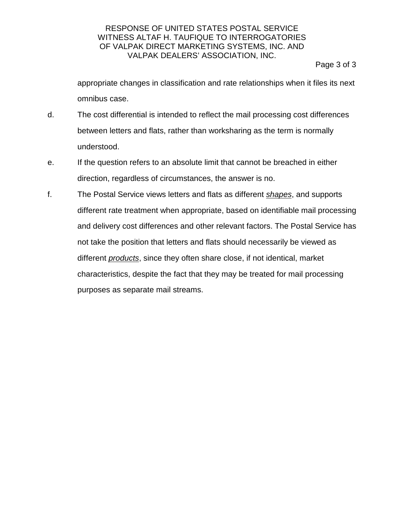Page 3 of 3

appropriate changes in classification and rate relationships when it files its next omnibus case.

- d. The cost differential is intended to reflect the mail processing cost differences between letters and flats, rather than worksharing as the term is normally understood.
- e. If the question refers to an absolute limit that cannot be breached in either direction, regardless of circumstances, the answer is no.
- f. The Postal Service views letters and flats as different shapes, and supports different rate treatment when appropriate, based on identifiable mail processing and delivery cost differences and other relevant factors. The Postal Service has not take the position that letters and flats should necessarily be viewed as different *products*, since they often share close, if not identical, market characteristics, despite the fact that they may be treated for mail processing purposes as separate mail streams.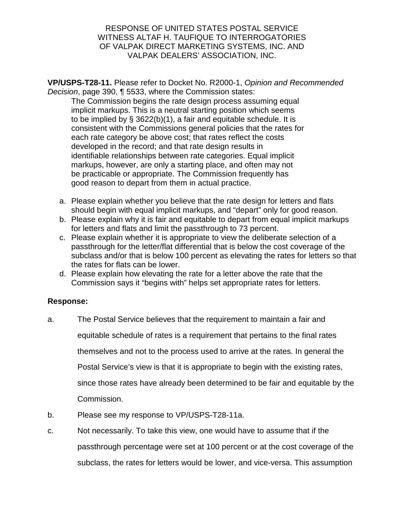**VP/USPS-T28-11.** Please refer to Docket No. R2000-1, Opinion and Recommended Decision, page 390, ¶ 5533, where the Commission states:

The Commission begins the rate design process assuming equal implicit markups. This is a neutral starting position which seems to be implied by  $\S$  3622(b)(1), a fair and equitable schedule. It is consistent with the Commissions general policies that the rates for each rate category be above cost; that rates reflect the costs developed in the record; and that rate design results in identifiable relationships between rate categories. Equal implicit markups, however, are only a starting place, and often may not be practicable or appropriate. The Commission frequently has good reason to depart from them in actual practice.

- a. Please explain whether you believe that the rate design for letters and flats should begin with equal implicit markups, and "depart" only for good reason.
- b. Please explain why it is fair and equitable to depart from equal implicit markups for letters and flats and limit the passthrough to 73 percent.
- c. Please explain whether it is appropriate to view the deliberate selection of a passthrough for the letter/flat differential that is below the cost coverage of the subclass and/or that is below 100 percent as elevating the rates for letters so that the rates for flats can be lower.
- d. Please explain how elevating the rate for a letter above the rate that the Commission says it "begins with" helps set appropriate rates for letters.

- a. The Postal Service believes that the requirement to maintain a fair and equitable schedule of rates is a requirement that pertains to the final rates themselves and not to the process used to arrive at the rates. In general the Postal Service's view is that it is appropriate to begin with the existing rates, since those rates have already been determined to be fair and equitable by the Commission.
- b. Please see my response to VP/USPS-T28-11a.
- c. Not necessarily. To take this view, one would have to assume that if the passthrough percentage were set at 100 percent or at the cost coverage of the subclass, the rates for letters would be lower, and vice-versa. This assumption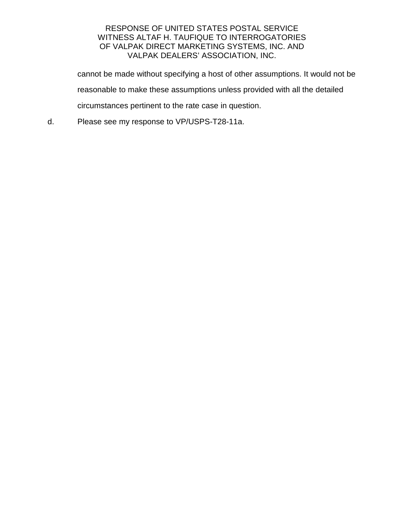cannot be made without specifying a host of other assumptions. It would not be reasonable to make these assumptions unless provided with all the detailed circumstances pertinent to the rate case in question.

d. Please see my response to VP/USPS-T28-11a.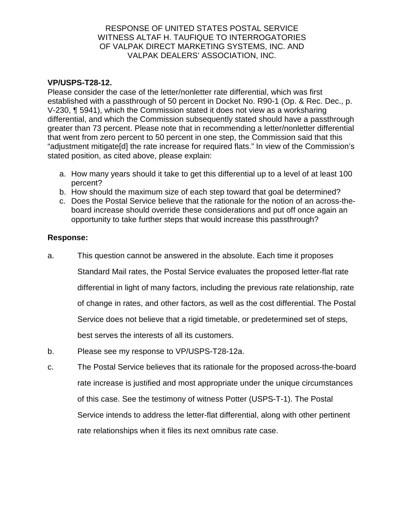## **VP/USPS-T28-12.**

Please consider the case of the letter/nonletter rate differential, which was first established with a passthrough of 50 percent in Docket No. R90-1 (Op. & Rec. Dec., p. V-230, ¶ 5941), which the Commission stated it does not view as a worksharing differential, and which the Commission subsequently stated should have a passthrough greater than 73 percent. Please note that in recommending a letter/nonletter differential that went from zero percent to 50 percent in one step, the Commission said that this "adjustment mitigate[d] the rate increase for required flats." In view of the Commission's stated position, as cited above, please explain:

- a. How many years should it take to get this differential up to a level of at least 100 percent?
- b. How should the maximum size of each step toward that goal be determined?
- c. Does the Postal Service believe that the rationale for the notion of an across-theboard increase should override these considerations and put off once again an opportunity to take further steps that would increase this passthrough?

- a. This question cannot be answered in the absolute. Each time it proposes Standard Mail rates, the Postal Service evaluates the proposed letter-flat rate differential in light of many factors, including the previous rate relationship, rate of change in rates, and other factors, as well as the cost differential. The Postal Service does not believe that a rigid timetable, or predetermined set of steps, best serves the interests of all its customers.
- b. Please see my response to VP/USPS-T28-12a.
- c. The Postal Service believes that its rationale for the proposed across-the-board rate increase is justified and most appropriate under the unique circumstances of this case. See the testimony of witness Potter (USPS-T-1). The Postal Service intends to address the letter-flat differential, along with other pertinent rate relationships when it files its next omnibus rate case.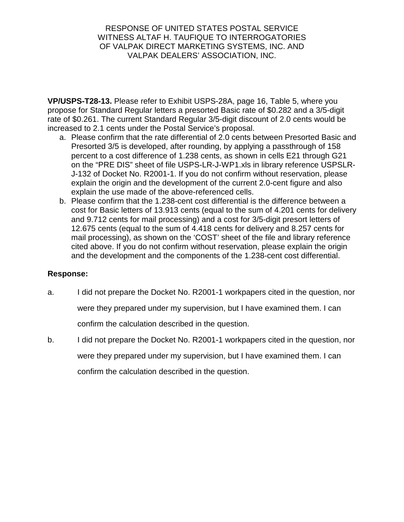**VP/USPS-T28-13.** Please refer to Exhibit USPS-28A, page 16, Table 5, where you propose for Standard Regular letters a presorted Basic rate of \$0.282 and a 3/5-digit rate of \$0.261. The current Standard Regular 3/5-digit discount of 2.0 cents would be increased to 2.1 cents under the Postal Service's proposal.

- a. Please confirm that the rate differential of 2.0 cents between Presorted Basic and Presorted 3/5 is developed, after rounding, by applying a passthrough of 158 percent to a cost difference of 1.238 cents, as shown in cells E21 through G21 on the "PRE DIS" sheet of file USPS-LR-J-WP1.xls in library reference USPSLR-J-132 of Docket No. R2001-1. If you do not confirm without reservation, please explain the origin and the development of the current 2.0-cent figure and also explain the use made of the above-referenced cells.
- b. Please confirm that the 1.238-cent cost differential is the difference between a cost for Basic letters of 13.913 cents (equal to the sum of 4.201 cents for delivery and 9.712 cents for mail processing) and a cost for 3/5-digit presort letters of 12.675 cents (equal to the sum of 4.418 cents for delivery and 8.257 cents for mail processing), as shown on the 'COST' sheet of the file and library reference cited above. If you do not confirm without reservation, please explain the origin and the development and the components of the 1.238-cent cost differential.

- a. I did not prepare the Docket No. R2001-1 workpapers cited in the question, nor were they prepared under my supervision, but I have examined them. I can confirm the calculation described in the question.
- b. I did not prepare the Docket No. R2001-1 workpapers cited in the question, nor were they prepared under my supervision, but I have examined them. I can confirm the calculation described in the question.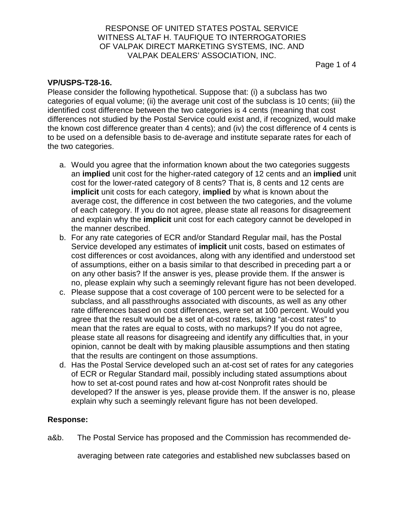Page 1 of 4

## **VP/USPS-T28-16.**

Please consider the following hypothetical. Suppose that: (i) a subclass has two categories of equal volume; (ii) the average unit cost of the subclass is 10 cents; (iii) the identified cost difference between the two categories is 4 cents (meaning that cost differences not studied by the Postal Service could exist and, if recognized, would make the known cost difference greater than 4 cents); and (iv) the cost difference of 4 cents is to be used on a defensible basis to de-average and institute separate rates for each of the two categories.

- a. Would you agree that the information known about the two categories suggests an **implied** unit cost for the higher-rated category of 12 cents and an **implied** unit cost for the lower-rated category of 8 cents? That is, 8 cents and 12 cents are **implicit** unit costs for each category, **implied** by what is known about the average cost, the difference in cost between the two categories, and the volume of each category. If you do not agree, please state all reasons for disagreement and explain why the **implicit** unit cost for each category cannot be developed in the manner described.
- b. For any rate categories of ECR and/or Standard Regular mail, has the Postal Service developed any estimates of **implicit** unit costs, based on estimates of cost differences or cost avoidances, along with any identified and understood set of assumptions, either on a basis similar to that described in preceding part a or on any other basis? If the answer is yes, please provide them. If the answer is no, please explain why such a seemingly relevant figure has not been developed.
- c. Please suppose that a cost coverage of 100 percent were to be selected for a subclass, and all passthroughs associated with discounts, as well as any other rate differences based on cost differences, were set at 100 percent. Would you agree that the result would be a set of at-cost rates, taking "at-cost rates" to mean that the rates are equal to costs, with no markups? If you do not agree, please state all reasons for disagreeing and identify any difficulties that, in your opinion, cannot be dealt with by making plausible assumptions and then stating that the results are contingent on those assumptions.
- d. Has the Postal Service developed such an at-cost set of rates for any categories of ECR or Regular Standard mail, possibly including stated assumptions about how to set at-cost pound rates and how at-cost Nonprofit rates should be developed? If the answer is yes, please provide them. If the answer is no, please explain why such a seemingly relevant figure has not been developed.

## **Response:**

a&b. The Postal Service has proposed and the Commission has recommended de-

averaging between rate categories and established new subclasses based on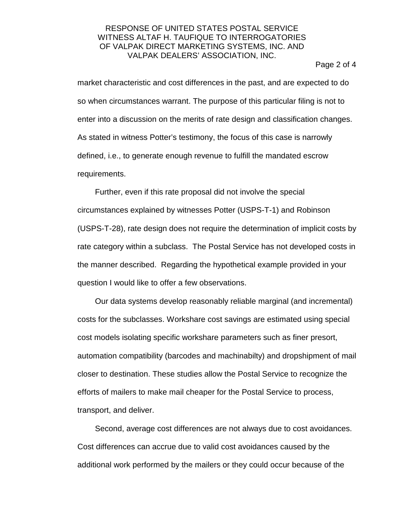#### Page 2 of 4

market characteristic and cost differences in the past, and are expected to do so when circumstances warrant. The purpose of this particular filing is not to enter into a discussion on the merits of rate design and classification changes. As stated in witness Potter's testimony, the focus of this case is narrowly defined, i.e., to generate enough revenue to fulfill the mandated escrow requirements.

Further, even if this rate proposal did not involve the special circumstances explained by witnesses Potter (USPS-T-1) and Robinson (USPS-T-28), rate design does not require the determination of implicit costs by rate category within a subclass. The Postal Service has not developed costs in the manner described. Regarding the hypothetical example provided in your question I would like to offer a few observations.

Our data systems develop reasonably reliable marginal (and incremental) costs for the subclasses. Workshare cost savings are estimated using special cost models isolating specific workshare parameters such as finer presort, automation compatibility (barcodes and machinabilty) and dropshipment of mail closer to destination. These studies allow the Postal Service to recognize the efforts of mailers to make mail cheaper for the Postal Service to process, transport, and deliver.

Second, average cost differences are not always due to cost avoidances. Cost differences can accrue due to valid cost avoidances caused by the additional work performed by the mailers or they could occur because of the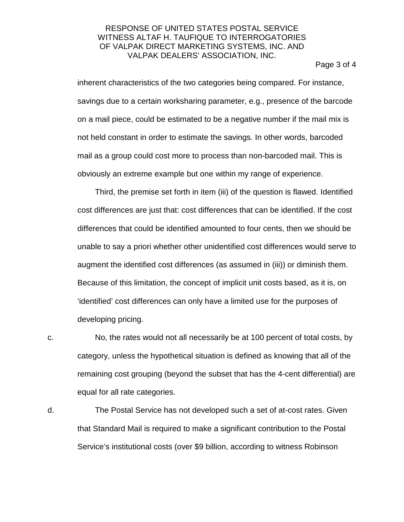Page 3 of 4

inherent characteristics of the two categories being compared. For instance, savings due to a certain worksharing parameter, e.g., presence of the barcode on a mail piece, could be estimated to be a negative number if the mail mix is not held constant in order to estimate the savings. In other words, barcoded mail as a group could cost more to process than non-barcoded mail. This is obviously an extreme example but one within my range of experience.

Third, the premise set forth in item (iii) of the question is flawed. Identified cost differences are just that: cost differences that can be identified. If the cost differences that could be identified amounted to four cents, then we should be unable to say a priori whether other unidentified cost differences would serve to augment the identified cost differences (as assumed in (iii)) or diminish them. Because of this limitation, the concept of implicit unit costs based, as it is, on 'identified' cost differences can only have a limited use for the purposes of developing pricing.

c. No, the rates would not all necessarily be at 100 percent of total costs, by category, unless the hypothetical situation is defined as knowing that all of the remaining cost grouping (beyond the subset that has the 4-cent differential) are equal for all rate categories.

d. The Postal Service has not developed such a set of at-cost rates. Given that Standard Mail is required to make a significant contribution to the Postal Service's institutional costs (over \$9 billion, according to witness Robinson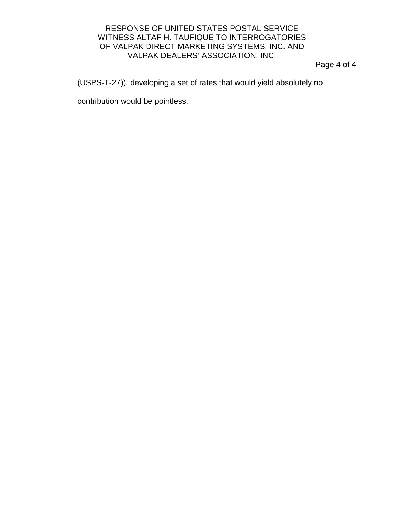Page 4 of 4

(USPS-T-27)), developing a set of rates that would yield absolutely no

contribution would be pointless.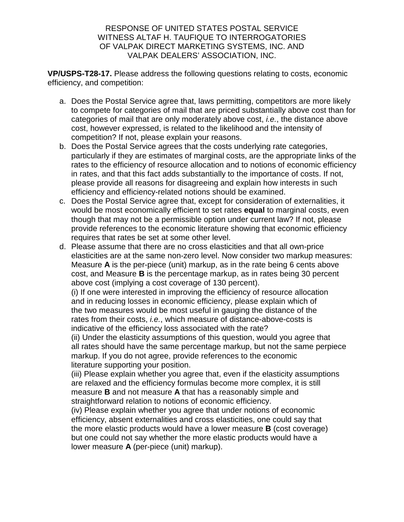**VP/USPS-T28-17.** Please address the following questions relating to costs, economic efficiency, and competition:

- a. Does the Postal Service agree that, laws permitting, competitors are more likely to compete for categories of mail that are priced substantially above cost than for categories of mail that are only moderately above cost, i.e., the distance above cost, however expressed, is related to the likelihood and the intensity of competition? If not, please explain your reasons.
- b. Does the Postal Service agrees that the costs underlying rate categories, particularly if they are estimates of marginal costs, are the appropriate links of the rates to the efficiency of resource allocation and to notions of economic efficiency in rates, and that this fact adds substantially to the importance of costs. If not, please provide all reasons for disagreeing and explain how interests in such efficiency and efficiency-related notions should be examined.
- c. Does the Postal Service agree that, except for consideration of externalities, it would be most economically efficient to set rates **equal** to marginal costs, even though that may not be a permissible option under current law? If not, please provide references to the economic literature showing that economic efficiency requires that rates be set at some other level.
- d. Please assume that there are no cross elasticities and that all own-price elasticities are at the same non-zero level. Now consider two markup measures: Measure **A** is the per-piece (unit) markup, as in the rate being 6 cents above cost, and Measure **B** is the percentage markup, as in rates being 30 percent above cost (implying a cost coverage of 130 percent).

(i) If one were interested in improving the efficiency of resource allocation and in reducing losses in economic efficiency, please explain which of the two measures would be most useful in gauging the distance of the rates from their costs, *i.e.*, which measure of distance-above-costs is indicative of the efficiency loss associated with the rate?

(ii) Under the elasticity assumptions of this question, would you agree that all rates should have the same percentage markup, but not the same perpiece markup. If you do not agree, provide references to the economic literature supporting your position.

(iii) Please explain whether you agree that, even if the elasticity assumptions are relaxed and the efficiency formulas become more complex, it is still measure **B** and not measure **A** that has a reasonably simple and straightforward relation to notions of economic efficiency.

(iv) Please explain whether you agree that under notions of economic efficiency, absent externalities and cross elasticities, one could say that the more elastic products would have a lower measure **B** (cost coverage) but one could not say whether the more elastic products would have a lower measure **A** (per-piece (unit) markup).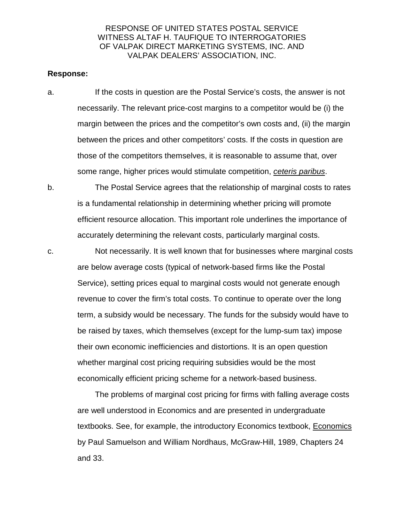#### **Response:**

- a. If the costs in question are the Postal Service's costs, the answer is not necessarily. The relevant price-cost margins to a competitor would be (i) the margin between the prices and the competitor's own costs and, (ii) the margin between the prices and other competitors' costs. If the costs in question are those of the competitors themselves, it is reasonable to assume that, over some range, higher prices would stimulate competition, ceteris paribus.
- b. The Postal Service agrees that the relationship of marginal costs to rates is a fundamental relationship in determining whether pricing will promote efficient resource allocation. This important role underlines the importance of accurately determining the relevant costs, particularly marginal costs.
- c. Not necessarily. It is well known that for businesses where marginal costs are below average costs (typical of network-based firms like the Postal Service), setting prices equal to marginal costs would not generate enough revenue to cover the firm's total costs. To continue to operate over the long term, a subsidy would be necessary. The funds for the subsidy would have to be raised by taxes, which themselves (except for the lump-sum tax) impose their own economic inefficiencies and distortions. It is an open question whether marginal cost pricing requiring subsidies would be the most economically efficient pricing scheme for a network-based business.

The problems of marginal cost pricing for firms with falling average costs are well understood in Economics and are presented in undergraduate textbooks. See, for example, the introductory Economics textbook, Economics by Paul Samuelson and William Nordhaus, McGraw-Hill, 1989, Chapters 24 and 33.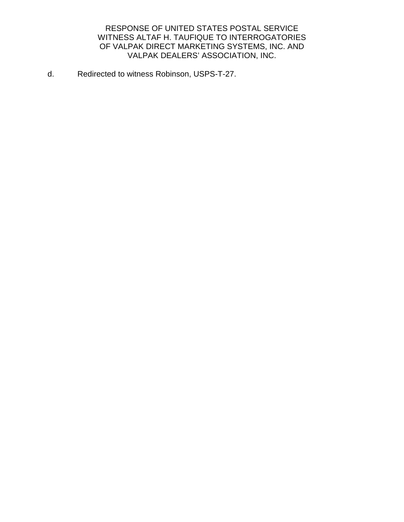d. Redirected to witness Robinson, USPS-T-27.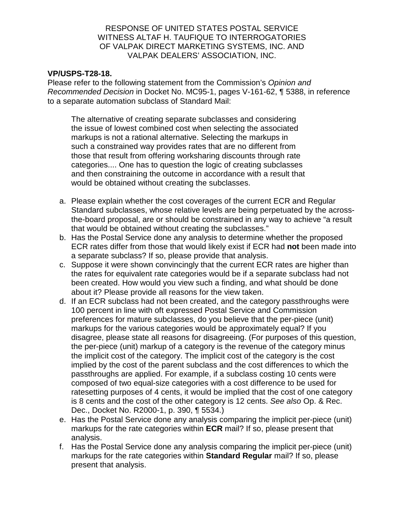## **VP/USPS-T28-18.**

Please refer to the following statement from the Commission's Opinion and Recommended Decision in Docket No. MC95-1, pages V-161-62, ¶ 5388, in reference to a separate automation subclass of Standard Mail:

The alternative of creating separate subclasses and considering the issue of lowest combined cost when selecting the associated markups is not a rational alternative. Selecting the markups in such a constrained way provides rates that are no different from those that result from offering worksharing discounts through rate categories.... One has to question the logic of creating subclasses and then constraining the outcome in accordance with a result that would be obtained without creating the subclasses.

- a. Please explain whether the cost coverages of the current ECR and Regular Standard subclasses, whose relative levels are being perpetuated by the acrossthe-board proposal, are or should be constrained in any way to achieve "a result that would be obtained without creating the subclasses."
- b. Has the Postal Service done any analysis to determine whether the proposed ECR rates differ from those that would likely exist if ECR had **not** been made into a separate subclass? If so, please provide that analysis.
- c. Suppose it were shown convincingly that the current ECR rates are higher than the rates for equivalent rate categories would be if a separate subclass had not been created. How would you view such a finding, and what should be done about it? Please provide all reasons for the view taken.
- d. If an ECR subclass had not been created, and the category passthroughs were 100 percent in line with oft expressed Postal Service and Commission preferences for mature subclasses, do you believe that the per-piece (unit) markups for the various categories would be approximately equal? If you disagree, please state all reasons for disagreeing. (For purposes of this question, the per-piece (unit) markup of a category is the revenue of the category minus the implicit cost of the category. The implicit cost of the category is the cost implied by the cost of the parent subclass and the cost differences to which the passthroughs are applied. For example, if a subclass costing 10 cents were composed of two equal-size categories with a cost difference to be used for ratesetting purposes of 4 cents, it would be implied that the cost of one category is 8 cents and the cost of the other category is 12 cents. See also Op. & Rec. Dec., Docket No. R2000-1, p. 390, ¶ 5534.)
- e. Has the Postal Service done any analysis comparing the implicit per-piece (unit) markups for the rate categories within **ECR** mail? If so, please present that analysis.
- f. Has the Postal Service done any analysis comparing the implicit per-piece (unit) markups for the rate categories within **Standard Regular** mail? If so, please present that analysis.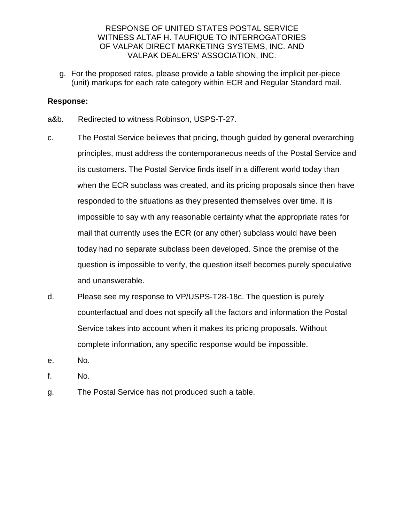g. For the proposed rates, please provide a table showing the implicit per-piece (unit) markups for each rate category within ECR and Regular Standard mail.

- a&b. Redirected to witness Robinson, USPS-T-27.
- c. The Postal Service believes that pricing, though guided by general overarching principles, must address the contemporaneous needs of the Postal Service and its customers. The Postal Service finds itself in a different world today than when the ECR subclass was created, and its pricing proposals since then have responded to the situations as they presented themselves over time. It is impossible to say with any reasonable certainty what the appropriate rates for mail that currently uses the ECR (or any other) subclass would have been today had no separate subclass been developed. Since the premise of the question is impossible to verify, the question itself becomes purely speculative and unanswerable.
- d. Please see my response to VP/USPS-T28-18c. The question is purely counterfactual and does not specify all the factors and information the Postal Service takes into account when it makes its pricing proposals. Without complete information, any specific response would be impossible.
- e. No.
- f. No.
- g. The Postal Service has not produced such a table.